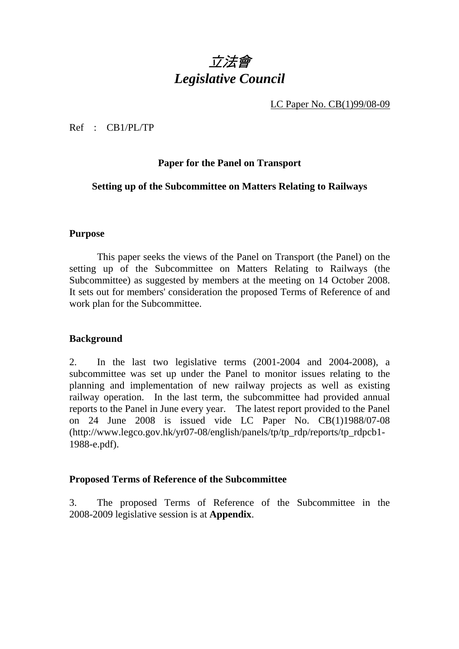# 立法會 *Legislative Council*

LC Paper No. CB(1)99/08-09

Ref : CB1/PL/TP

# **Paper for the Panel on Transport**

## **Setting up of the Subcommittee on Matters Relating to Railways**

#### **Purpose**

1 This paper seeks the views of the Panel on Transport (the Panel) on the setting up of the Subcommittee on Matters Relating to Railways (the Subcommittee) as suggested by members at the meeting on 14 October 2008. It sets out for members' consideration the proposed Terms of Reference of and work plan for the Subcommittee.

#### **Background**

2. In the last two legislative terms (2001-2004 and 2004-2008), a subcommittee was set up under the Panel to monitor issues relating to the planning and implementation of new railway projects as well as existing railway operation. In the last term, the subcommittee had provided annual reports to the Panel in June every year. The latest report provided to the Panel on 24 June 2008 is issued vide LC Paper No. CB(1)1988/07-08 (http://www.legco.gov.hk/yr07-08/english/panels/tp/tp\_rdp/reports/tp\_rdpcb1- 1988-e.pdf).

#### **Proposed Terms of Reference of the Subcommittee**

3. The proposed Terms of Reference of the Subcommittee in the 2008-2009 legislative session is at **Appendix**.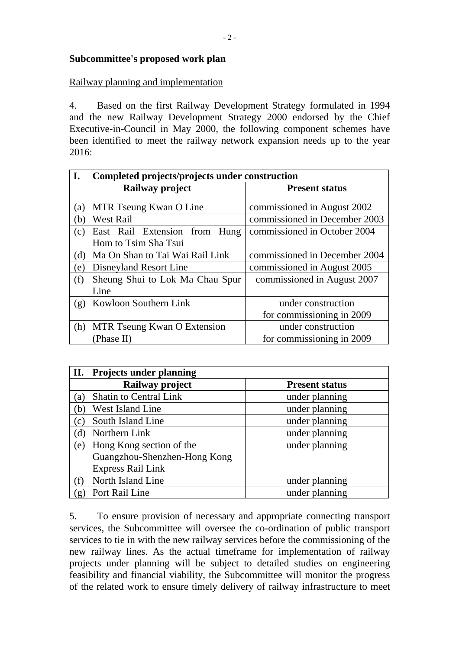### **Subcommittee's proposed work plan**

## Railway planning and implementation

4. Based on the first Railway Development Strategy formulated in 1994 and the new Railway Development Strategy 2000 endorsed by the Chief Executive-in-Council in May 2000, the following component schemes have been identified to meet the railway network expansion needs up to the year 2016:

| I.<br>Completed projects/projects under construction |                                  |                               |
|------------------------------------------------------|----------------------------------|-------------------------------|
|                                                      | Railway project                  | <b>Present status</b>         |
| (a)                                                  | MTR Tseung Kwan O Line           | commissioned in August 2002   |
| <b>West Rail</b><br>(b)                              |                                  | commissioned in December 2003 |
| (c)                                                  | East Rail Extension from<br>Hung | commissioned in October 2004  |
|                                                      | Hom to Tsim Sha Tsui             |                               |
| Ma On Shan to Tai Wai Rail Link<br>(d)               |                                  | commissioned in December 2004 |
| (e)                                                  | Disneyland Resort Line           | commissioned in August 2005   |
| (f)                                                  | Sheung Shui to Lok Ma Chau Spur  | commissioned in August 2007   |
| Line                                                 |                                  |                               |
| (g)                                                  | Kowloon Southern Link            | under construction            |
|                                                      |                                  | for commissioning in 2009     |
| (h)                                                  | MTR Tseung Kwan O Extension      | under construction            |
| (Phase II)                                           |                                  | for commissioning in 2009     |

| <b>Projects under planning</b><br>П. |                       |  |
|--------------------------------------|-----------------------|--|
| Railway project                      | <b>Present status</b> |  |
| <b>Shatin to Central Link</b><br>(a) | under planning        |  |
| West Island Line<br>(b               | under planning        |  |
| South Island Line<br>$\rm(c)$        | under planning        |  |
| Northern Link<br>'d)                 | under planning        |  |
| Hong Kong section of the<br>(e)      | under planning        |  |
| Guangzhou-Shenzhen-Hong Kong         |                       |  |
| <b>Express Rail Link</b>             |                       |  |
| North Island Line                    | under planning        |  |
| Port Rail Line<br>(g)                | under planning        |  |

5. To ensure provision of necessary and appropriate connecting transport services, the Subcommittee will oversee the co-ordination of public transport services to tie in with the new railway services before the commissioning of the new railway lines. As the actual timeframe for implementation of railway projects under planning will be subject to detailed studies on engineering feasibility and financial viability, the Subcommittee will monitor the progress of the related work to ensure timely delivery of railway infrastructure to meet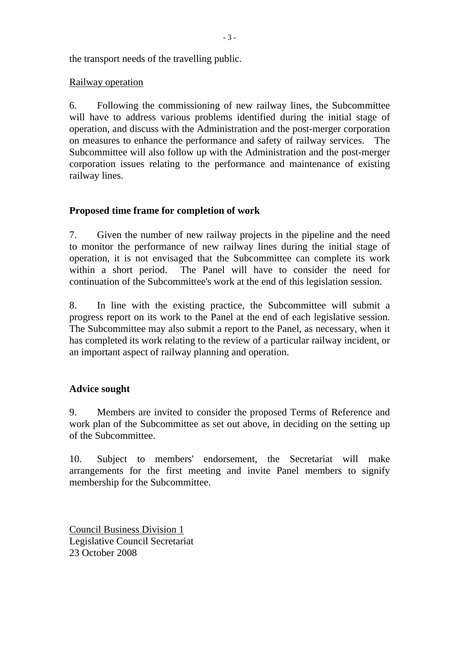the transport needs of the travelling public.

## Railway operation

6. Following the commissioning of new railway lines, the Subcommittee will have to address various problems identified during the initial stage of operation, and discuss with the Administration and the post-merger corporation on measures to enhance the performance and safety of railway services. The Subcommittee will also follow up with the Administration and the post-merger corporation issues relating to the performance and maintenance of existing railway lines.

# **Proposed time frame for completion of work**

7. Given the number of new railway projects in the pipeline and the need to monitor the performance of new railway lines during the initial stage of operation, it is not envisaged that the Subcommittee can complete its work within a short period. The Panel will have to consider the need for continuation of the Subcommittee's work at the end of this legislation session.

8. In line with the existing practice, the Subcommittee will submit a progress report on its work to the Panel at the end of each legislative session. The Subcommittee may also submit a report to the Panel, as necessary, when it has completed its work relating to the review of a particular railway incident, or an important aspect of railway planning and operation.

# **Advice sought**

9. Members are invited to consider the proposed Terms of Reference and work plan of the Subcommittee as set out above, in deciding on the setting up of the Subcommittee.

10. Subject to members' endorsement, the Secretariat will make arrangements for the first meeting and invite Panel members to signify membership for the Subcommittee.

Council Business Division 1 Legislative Council Secretariat 23 October 2008